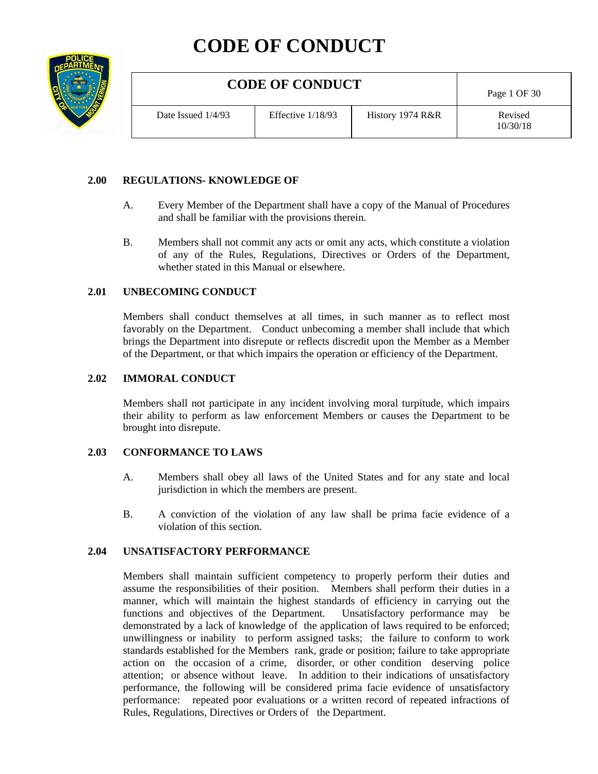# **CODE OF CONDUCT**



## **2.00 REGULATIONS- KNOWLEDGE OF**

- A. Every Member of the Department shall have a copy of the Manual of Procedures and shall be familiar with the provisions therein.
- B. Members shall not commit any acts or omit any acts, which constitute a violation of any of the Rules, Regulations, Directives or Orders of the Department, whether stated in this Manual or elsewhere.

#### **2.01 UNBECOMING CONDUCT**

Members shall conduct themselves at all times, in such manner as to reflect most favorably on the Department. Conduct unbecoming a member shall include that which brings the Department into disrepute or reflects discredit upon the Member as a Member of the Department, or that which impairs the operation or efficiency of the Department.

#### **2.02 IMMORAL CONDUCT**

Members shall not participate in any incident involving moral turpitude, which impairs their ability to perform as law enforcement Members or causes the Department to be brought into disrepute.

## **2.03 CONFORMANCE TO LAWS**

- A. Members shall obey all laws of the United States and for any state and local jurisdiction in which the members are present.
- B. A conviction of the violation of any law shall be prima facie evidence of a violation of this section.

## **2.04 UNSATISFACTORY PERFORMANCE**

Members shall maintain sufficient competency to properly perform their duties and assume the responsibilities of their position. Members shall perform their duties in a manner, which will maintain the highest standards of efficiency in carrying out the functions and objectives of the Department. Unsatisfactory performance may be functions and objectives of the Department. demonstrated by a lack of knowledge of the application of laws required to be enforced; unwillingness or inability to perform assigned tasks; the failure to conform to work standards established for the Members rank, grade or position; failure to take appropriate action on the occasion of a crime, disorder, or other condition deserving police attention; or absence without leave. In addition to their indications of unsatisfactory performance, the following will be considered prima facie evidence of unsatisfactory performance: repeated poor evaluations or a written record of repeated infractions of Rules, Regulations, Directives or Orders of the Department.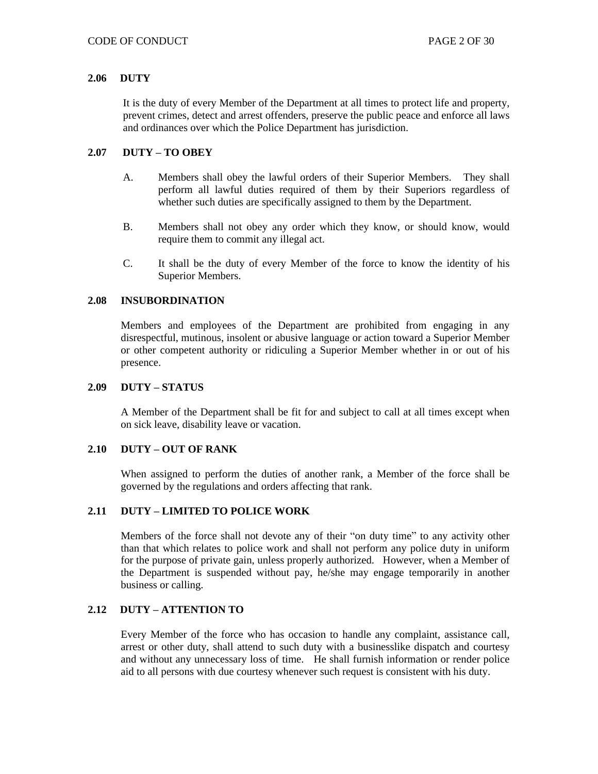## **2.06 DUTY**

It is the duty of every Member of the Department at all times to protect life and property, prevent crimes, detect and arrest offenders, preserve the public peace and enforce all laws and ordinances over which the Police Department has jurisdiction.

## **2.07 DUTY – TO OBEY**

- A. Members shall obey the lawful orders of their Superior Members. They shall perform all lawful duties required of them by their Superiors regardless of whether such duties are specifically assigned to them by the Department.
- B. Members shall not obey any order which they know, or should know, would require them to commit any illegal act.
- C. It shall be the duty of every Member of the force to know the identity of his Superior Members.

## **2.08 INSUBORDINATION**

Members and employees of the Department are prohibited from engaging in any disrespectful, mutinous, insolent or abusive language or action toward a Superior Member or other competent authority or ridiculing a Superior Member whether in or out of his presence.

## **2.09 DUTY – STATUS**

A Member of the Department shall be fit for and subject to call at all times except when on sick leave, disability leave or vacation.

## **2.10 DUTY – OUT OF RANK**

When assigned to perform the duties of another rank, a Member of the force shall be governed by the regulations and orders affecting that rank.

# **2.11 DUTY – LIMITED TO POLICE WORK**

Members of the force shall not devote any of their "on duty time" to any activity other than that which relates to police work and shall not perform any police duty in uniform for the purpose of private gain, unless properly authorized. However, when a Member of the Department is suspended without pay, he/she may engage temporarily in another business or calling.

## **2.12 DUTY – ATTENTION TO**

Every Member of the force who has occasion to handle any complaint, assistance call, arrest or other duty, shall attend to such duty with a businesslike dispatch and courtesy and without any unnecessary loss of time. He shall furnish information or render police aid to all persons with due courtesy whenever such request is consistent with his duty.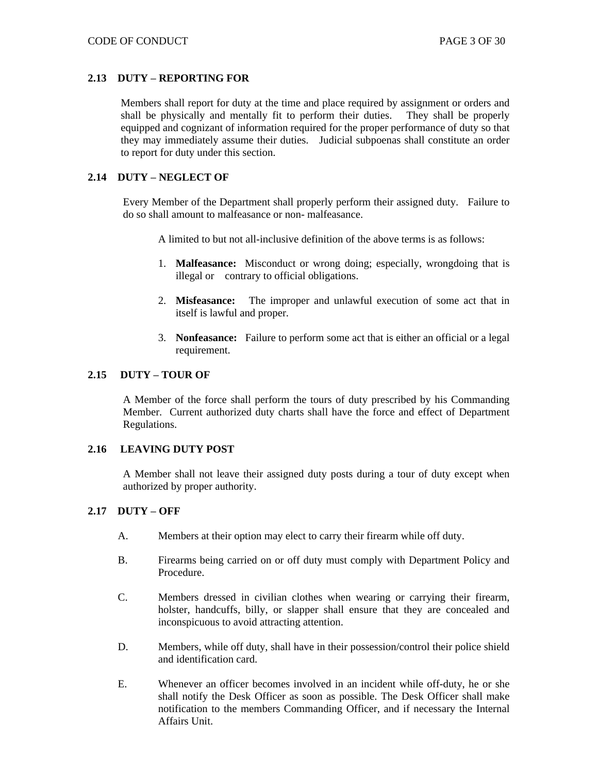## **2.13 DUTY – REPORTING FOR**

Members shall report for duty at the time and place required by assignment or orders and shall be physically and mentally fit to perform their duties. They shall be properly equipped and cognizant of information required for the proper performance of duty so that they may immediately assume their duties. Judicial subpoenas shall constitute an order to report for duty under this section.

## **2.14 DUTY – NEGLECT OF**

Every Member of the Department shall properly perform their assigned duty. Failure to do so shall amount to malfeasance or non- malfeasance.

A limited to but not all-inclusive definition of the above terms is as follows:

- 1. **Malfeasance:** Misconduct or wrong doing; especially, wrongdoing that is illegal or contrary to official obligations.
- 2. **Misfeasance:** The improper and unlawful execution of some act that in itself is lawful and proper.
- 3. **Nonfeasance:** Failure to perform some act that is either an official or a legal requirement.

## **2.15 DUTY – TOUR OF**

A Member of the force shall perform the tours of duty prescribed by his Commanding Member. Current authorized duty charts shall have the force and effect of Department Regulations.

## **2.16 LEAVING DUTY POST**

A Member shall not leave their assigned duty posts during a tour of duty except when authorized by proper authority.

## **2.17 DUTY – OFF**

- A. Members at their option may elect to carry their firearm while off duty.
- B. Firearms being carried on or off duty must comply with Department Policy and Procedure.
- C. Members dressed in civilian clothes when wearing or carrying their firearm, holster, handcuffs, billy, or slapper shall ensure that they are concealed and inconspicuous to avoid attracting attention.
- D. Members, while off duty, shall have in their possession/control their police shield and identification card.
- E. Whenever an officer becomes involved in an incident while off-duty, he or she shall notify the Desk Officer as soon as possible. The Desk Officer shall make notification to the members Commanding Officer, and if necessary the Internal Affairs Unit.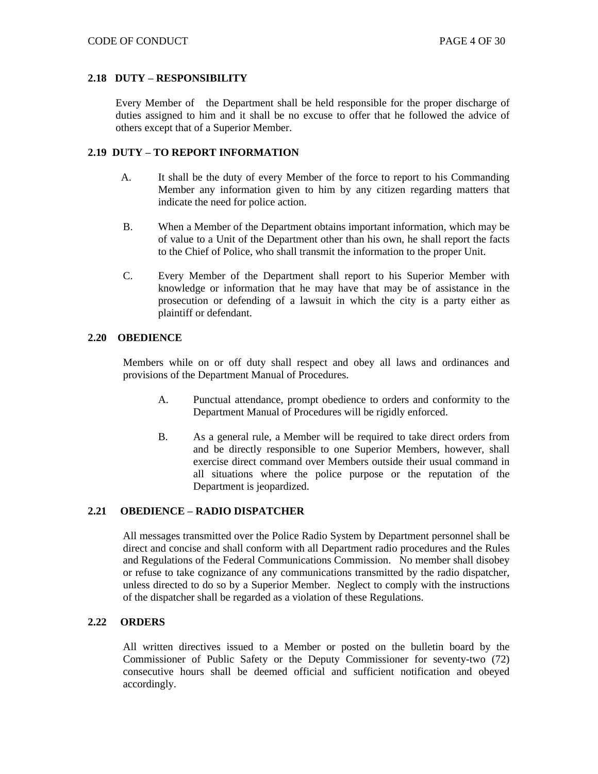## **2.18 DUTY – RESPONSIBILITY**

Every Member of the Department shall be held responsible for the proper discharge of duties assigned to him and it shall be no excuse to offer that he followed the advice of others except that of a Superior Member.

## **2.19 DUTY – TO REPORT INFORMATION**

- A. It shall be the duty of every Member of the force to report to his Commanding Member any information given to him by any citizen regarding matters that indicate the need for police action.
- B. When a Member of the Department obtains important information, which may be of value to a Unit of the Department other than his own, he shall report the facts to the Chief of Police, who shall transmit the information to the proper Unit.
- C. Every Member of the Department shall report to his Superior Member with knowledge or information that he may have that may be of assistance in the prosecution or defending of a lawsuit in which the city is a party either as plaintiff or defendant.

## **2.20 OBEDIENCE**

Members while on or off duty shall respect and obey all laws and ordinances and provisions of the Department Manual of Procedures.

- A. Punctual attendance, prompt obedience to orders and conformity to the Department Manual of Procedures will be rigidly enforced.
- B. As a general rule, a Member will be required to take direct orders from and be directly responsible to one Superior Members, however, shall exercise direct command over Members outside their usual command in all situations where the police purpose or the reputation of the Department is jeopardized.

# **2.21 OBEDIENCE – RADIO DISPATCHER**

All messages transmitted over the Police Radio System by Department personnel shall be direct and concise and shall conform with all Department radio procedures and the Rules and Regulations of the Federal Communications Commission. No member shall disobey or refuse to take cognizance of any communications transmitted by the radio dispatcher, unless directed to do so by a Superior Member. Neglect to comply with the instructions of the dispatcher shall be regarded as a violation of these Regulations.

## **2.22 ORDERS**

All written directives issued to a Member or posted on the bulletin board by the Commissioner of Public Safety or the Deputy Commissioner for seventy-two (72) consecutive hours shall be deemed official and sufficient notification and obeyed accordingly.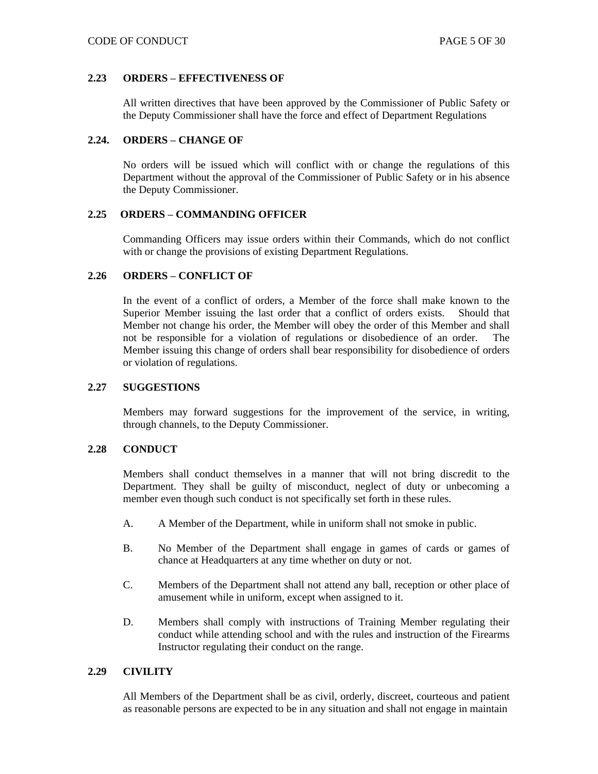## **2.23 ORDERS – EFFECTIVENESS OF**

All written directives that have been approved by the Commissioner of Public Safety or the Deputy Commissioner shall have the force and effect of Department Regulations

## **2.24. ORDERS – CHANGE OF**

No orders will be issued which will conflict with or change the regulations of this Department without the approval of the Commissioner of Public Safety or in his absence the Deputy Commissioner.

## **2.25 ORDERS – COMMANDING OFFICER**

Commanding Officers may issue orders within their Commands, which do not conflict with or change the provisions of existing Department Regulations.

## **2.26 ORDERS – CONFLICT OF**

In the event of a conflict of orders, a Member of the force shall make known to the Superior Member issuing the last order that a conflict of orders exists. Should that Member not change his order, the Member will obey the order of this Member and shall not be responsible for a violation of regulations or disobedience of an order. The Member issuing this change of orders shall bear responsibility for disobedience of orders or violation of regulations.

## **2.27 SUGGESTIONS**

Members may forward suggestions for the improvement of the service, in writing, through channels, to the Deputy Commissioner.

## **2.28 CONDUCT**

Members shall conduct themselves in a manner that will not bring discredit to the Department. They shall be guilty of misconduct, neglect of duty or unbecoming a member even though such conduct is not specifically set forth in these rules.

- A. A Member of the Department, while in uniform shall not smoke in public.
- B. No Member of the Department shall engage in games of cards or games of chance at Headquarters at any time whether on duty or not.
- C. Members of the Department shall not attend any ball, reception or other place of amusement while in uniform, except when assigned to it.
- D. Members shall comply with instructions of Training Member regulating their conduct while attending school and with the rules and instruction of the Firearms Instructor regulating their conduct on the range.

## **2.29 CIVILITY**

All Members of the Department shall be as civil, orderly, discreet, courteous and patient as reasonable persons are expected to be in any situation and shall not engage in maintain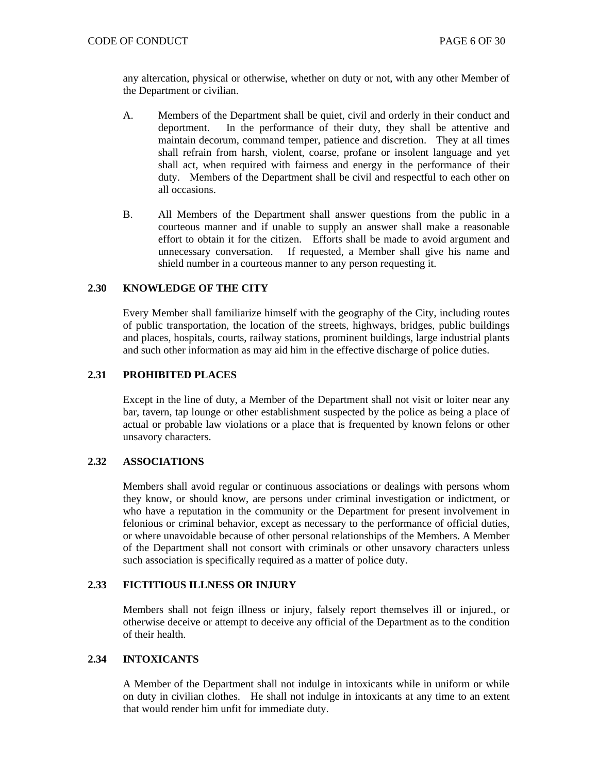any altercation, physical or otherwise, whether on duty or not, with any other Member of the Department or civilian.

- A. Members of the Department shall be quiet, civil and orderly in their conduct and deportment. In the performance of their duty, they shall be attentive and maintain decorum, command temper, patience and discretion. They at all times shall refrain from harsh, violent, coarse, profane or insolent language and yet shall act, when required with fairness and energy in the performance of their duty. Members of the Department shall be civil and respectful to each other on all occasions.
- B. All Members of the Department shall answer questions from the public in a courteous manner and if unable to supply an answer shall make a reasonable effort to obtain it for the citizen. Efforts shall be made to avoid argument and unnecessary conversation. If requested, a Member shall give his name and shield number in a courteous manner to any person requesting it.

## **2.30 KNOWLEDGE OF THE CITY**

Every Member shall familiarize himself with the geography of the City, including routes of public transportation, the location of the streets, highways, bridges, public buildings and places, hospitals, courts, railway stations, prominent buildings, large industrial plants and such other information as may aid him in the effective discharge of police duties.

## **2.31 PROHIBITED PLACES**

Except in the line of duty, a Member of the Department shall not visit or loiter near any bar, tavern, tap lounge or other establishment suspected by the police as being a place of actual or probable law violations or a place that is frequented by known felons or other unsavory characters.

## **2.32 ASSOCIATIONS**

Members shall avoid regular or continuous associations or dealings with persons whom they know, or should know, are persons under criminal investigation or indictment, or who have a reputation in the community or the Department for present involvement in felonious or criminal behavior, except as necessary to the performance of official duties, or where unavoidable because of other personal relationships of the Members. A Member of the Department shall not consort with criminals or other unsavory characters unless such association is specifically required as a matter of police duty.

## **2.33 FICTITIOUS ILLNESS OR INJURY**

Members shall not feign illness or injury, falsely report themselves ill or injured., or otherwise deceive or attempt to deceive any official of the Department as to the condition of their health.

## **2.34 INTOXICANTS**

A Member of the Department shall not indulge in intoxicants while in uniform or while on duty in civilian clothes. He shall not indulge in intoxicants at any time to an extent that would render him unfit for immediate duty.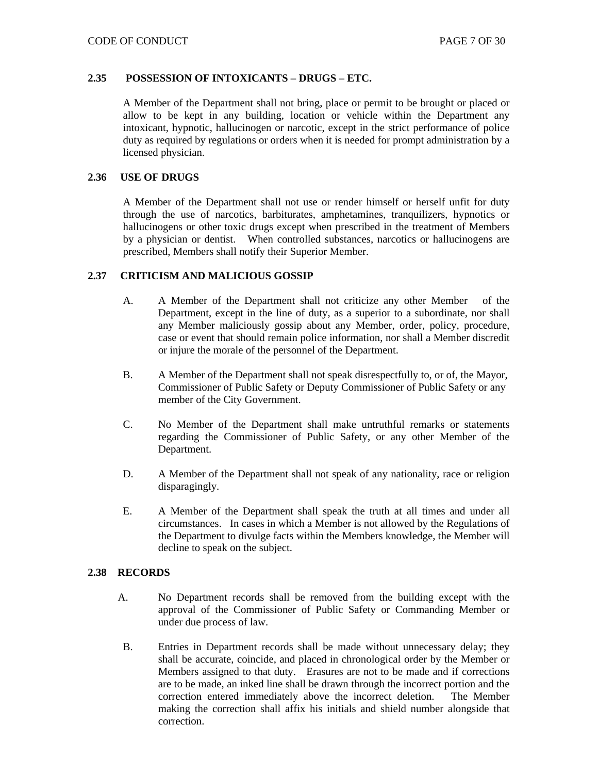#### **2.35 POSSESSION OF INTOXICANTS – DRUGS – ETC.**

A Member of the Department shall not bring, place or permit to be brought or placed or allow to be kept in any building, location or vehicle within the Department any intoxicant, hypnotic, hallucinogen or narcotic, except in the strict performance of police duty as required by regulations or orders when it is needed for prompt administration by a licensed physician.

## **2.36 USE OF DRUGS**

A Member of the Department shall not use or render himself or herself unfit for duty through the use of narcotics, barbiturates, amphetamines, tranquilizers, hypnotics or hallucinogens or other toxic drugs except when prescribed in the treatment of Members by a physician or dentist. When controlled substances, narcotics or hallucinogens are prescribed, Members shall notify their Superior Member.

## **2.37 CRITICISM AND MALICIOUS GOSSIP**

- A. A Member of the Department shall not criticize any other Member of the Department, except in the line of duty, as a superior to a subordinate, nor shall any Member maliciously gossip about any Member, order, policy, procedure, case or event that should remain police information, nor shall a Member discredit or injure the morale of the personnel of the Department.
- B. A Member of the Department shall not speak disrespectfully to, or of, the Mayor, Commissioner of Public Safety or Deputy Commissioner of Public Safety or any member of the City Government.
- C. No Member of the Department shall make untruthful remarks or statements regarding the Commissioner of Public Safety, or any other Member of the Department.
- D. A Member of the Department shall not speak of any nationality, race or religion disparagingly.
- E. A Member of the Department shall speak the truth at all times and under all circumstances. In cases in which a Member is not allowed by the Regulations of the Department to divulge facts within the Members knowledge, the Member will decline to speak on the subject.

#### **2.38 RECORDS**

- A. No Department records shall be removed from the building except with the approval of the Commissioner of Public Safety or Commanding Member or under due process of law.
- B. Entries in Department records shall be made without unnecessary delay; they shall be accurate, coincide, and placed in chronological order by the Member or Members assigned to that duty. Erasures are not to be made and if corrections are to be made, an inked line shall be drawn through the incorrect portion and the correction entered immediately above the incorrect deletion. The Member making the correction shall affix his initials and shield number alongside that correction.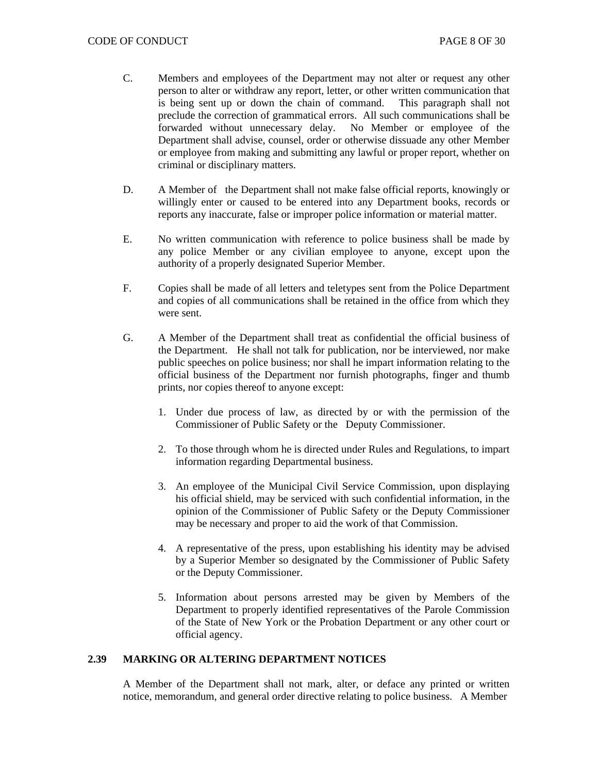- C. Members and employees of the Department may not alter or request any other person to alter or withdraw any report, letter, or other written communication that is being sent up or down the chain of command. This paragraph shall not preclude the correction of grammatical errors. All such communications shall be forwarded without unnecessary delay. No Member or employee of the Department shall advise, counsel, order or otherwise dissuade any other Member or employee from making and submitting any lawful or proper report, whether on criminal or disciplinary matters.
- D. A Member of the Department shall not make false official reports, knowingly or willingly enter or caused to be entered into any Department books, records or reports any inaccurate, false or improper police information or material matter.
- E. No written communication with reference to police business shall be made by any police Member or any civilian employee to anyone, except upon the authority of a properly designated Superior Member.
- F. Copies shall be made of all letters and teletypes sent from the Police Department and copies of all communications shall be retained in the office from which they were sent.
- G. A Member of the Department shall treat as confidential the official business of the Department. He shall not talk for publication, nor be interviewed, nor make public speeches on police business; nor shall he impart information relating to the official business of the Department nor furnish photographs, finger and thumb prints, nor copies thereof to anyone except:
	- 1. Under due process of law, as directed by or with the permission of the Commissioner of Public Safety or the Deputy Commissioner.
	- 2. To those through whom he is directed under Rules and Regulations, to impart information regarding Departmental business.
	- 3. An employee of the Municipal Civil Service Commission, upon displaying his official shield, may be serviced with such confidential information, in the opinion of the Commissioner of Public Safety or the Deputy Commissioner may be necessary and proper to aid the work of that Commission.
	- 4. A representative of the press, upon establishing his identity may be advised by a Superior Member so designated by the Commissioner of Public Safety or the Deputy Commissioner.
	- 5. Information about persons arrested may be given by Members of the Department to properly identified representatives of the Parole Commission of the State of New York or the Probation Department or any other court or official agency.

## **2.39 MARKING OR ALTERING DEPARTMENT NOTICES**

A Member of the Department shall not mark, alter, or deface any printed or written notice, memorandum, and general order directive relating to police business. A Member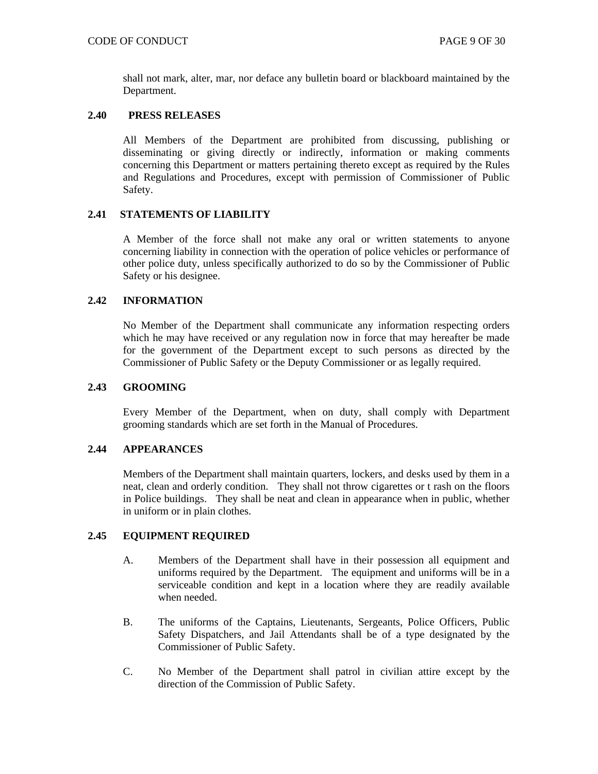shall not mark, alter, mar, nor deface any bulletin board or blackboard maintained by the Department.

## **2.40 PRESS RELEASES**

All Members of the Department are prohibited from discussing, publishing or disseminating or giving directly or indirectly, information or making comments concerning this Department or matters pertaining thereto except as required by the Rules and Regulations and Procedures, except with permission of Commissioner of Public Safety.

#### **2.41 STATEMENTS OF LIABILITY**

A Member of the force shall not make any oral or written statements to anyone concerning liability in connection with the operation of police vehicles or performance of other police duty, unless specifically authorized to do so by the Commissioner of Public Safety or his designee.

## **2.42 INFORMATION**

No Member of the Department shall communicate any information respecting orders which he may have received or any regulation now in force that may hereafter be made for the government of the Department except to such persons as directed by the Commissioner of Public Safety or the Deputy Commissioner or as legally required.

#### **2.43 GROOMING**

Every Member of the Department, when on duty, shall comply with Department grooming standards which are set forth in the Manual of Procedures.

## **2.44 APPEARANCES**

Members of the Department shall maintain quarters, lockers, and desks used by them in a neat, clean and orderly condition. They shall not throw cigarettes or t rash on the floors in Police buildings. They shall be neat and clean in appearance when in public, whether in uniform or in plain clothes.

#### **2.45 EQUIPMENT REQUIRED**

- A. Members of the Department shall have in their possession all equipment and uniforms required by the Department. The equipment and uniforms will be in a serviceable condition and kept in a location where they are readily available when needed.
- B. The uniforms of the Captains, Lieutenants, Sergeants, Police Officers, Public Safety Dispatchers, and Jail Attendants shall be of a type designated by the Commissioner of Public Safety.
- C. No Member of the Department shall patrol in civilian attire except by the direction of the Commission of Public Safety.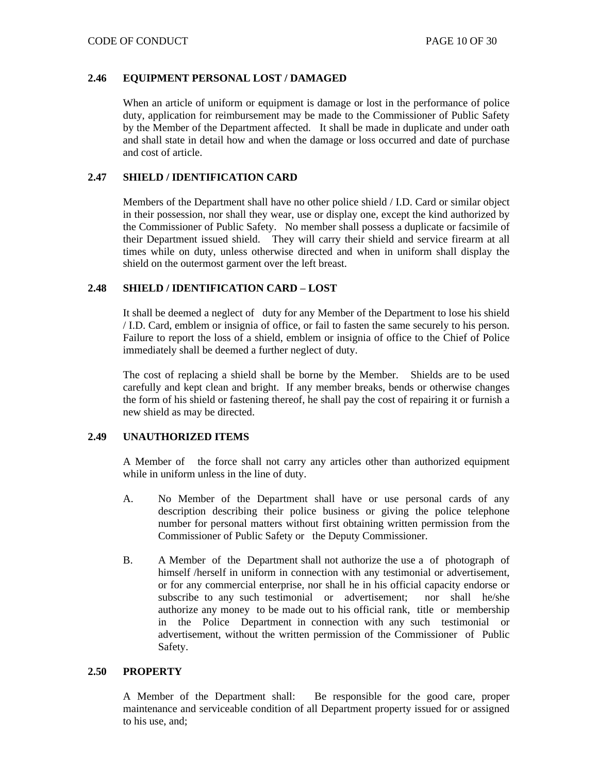## **2.46 EQUIPMENT PERSONAL LOST / DAMAGED**

When an article of uniform or equipment is damage or lost in the performance of police duty, application for reimbursement may be made to the Commissioner of Public Safety by the Member of the Department affected. It shall be made in duplicate and under oath and shall state in detail how and when the damage or loss occurred and date of purchase and cost of article.

## **2.47 SHIELD / IDENTIFICATION CARD**

Members of the Department shall have no other police shield / I.D. Card or similar object in their possession, nor shall they wear, use or display one, except the kind authorized by the Commissioner of Public Safety. No member shall possess a duplicate or facsimile of their Department issued shield. They will carry their shield and service firearm at all times while on duty, unless otherwise directed and when in uniform shall display the shield on the outermost garment over the left breast.

## **2.48 SHIELD / IDENTIFICATION CARD – LOST**

It shall be deemed a neglect of duty for any Member of the Department to lose his shield / I.D. Card, emblem or insignia of office, or fail to fasten the same securely to his person. Failure to report the loss of a shield, emblem or insignia of office to the Chief of Police immediately shall be deemed a further neglect of duty.

The cost of replacing a shield shall be borne by the Member. Shields are to be used carefully and kept clean and bright. If any member breaks, bends or otherwise changes the form of his shield or fastening thereof, he shall pay the cost of repairing it or furnish a new shield as may be directed.

## **2.49 UNAUTHORIZED ITEMS**

A Member of the force shall not carry any articles other than authorized equipment while in uniform unless in the line of duty.

- A. No Member of the Department shall have or use personal cards of any description describing their police business or giving the police telephone number for personal matters without first obtaining written permission from the Commissioner of Public Safety or the Deputy Commissioner.
- B. A Member of the Department shall not authorize the use a of photograph of himself /herself in uniform in connection with any testimonial or advertisement, or for any commercial enterprise, nor shall he in his official capacity endorse or subscribe to any such testimonial or advertisement; nor shall he/she authorize any money to be made out to his official rank, title or membership in the Police Department in connection with any such testimonial or advertisement, without the written permission of the Commissioner of Public Safety.

## **2.50 PROPERTY**

A Member of the Department shall: Be responsible for the good care, proper maintenance and serviceable condition of all Department property issued for or assigned to his use, and;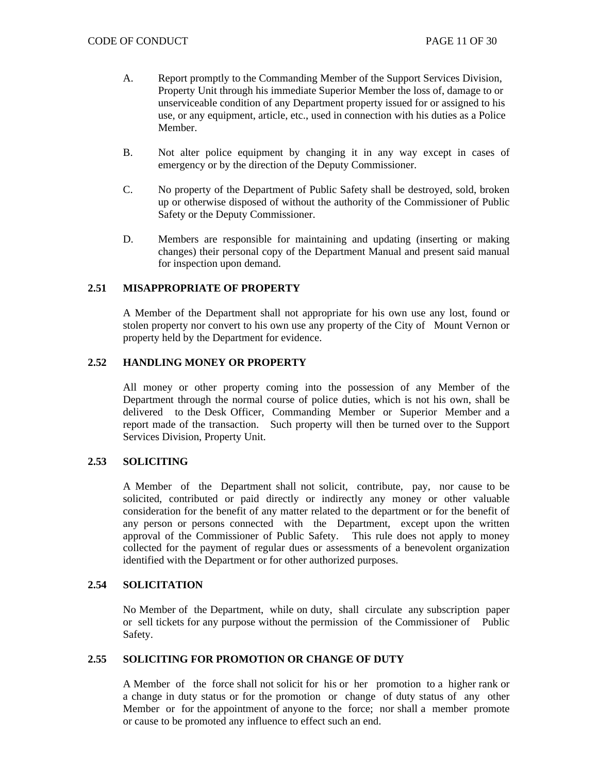- A. Report promptly to the Commanding Member of the Support Services Division, Property Unit through his immediate Superior Member the loss of, damage to or unserviceable condition of any Department property issued for or assigned to his use, or any equipment, article, etc., used in connection with his duties as a Police Member.
- B. Not alter police equipment by changing it in any way except in cases of emergency or by the direction of the Deputy Commissioner.
- C. No property of the Department of Public Safety shall be destroyed, sold, broken up or otherwise disposed of without the authority of the Commissioner of Public Safety or the Deputy Commissioner.
- D. Members are responsible for maintaining and updating (inserting or making changes) their personal copy of the Department Manual and present said manual for inspection upon demand.

## **2.51 MISAPPROPRIATE OF PROPERTY**

A Member of the Department shall not appropriate for his own use any lost, found or stolen property nor convert to his own use any property of the City of Mount Vernon or property held by the Department for evidence.

## **2.52 HANDLING MONEY OR PROPERTY**

All money or other property coming into the possession of any Member of the Department through the normal course of police duties, which is not his own, shall be delivered to the Desk Officer, Commanding Member or Superior Member and a report made of the transaction. Such property will then be turned over to the Support Services Division, Property Unit.

## **2.53 SOLICITING**

A Member of the Department shall not solicit, contribute, pay, nor cause to be solicited, contributed or paid directly or indirectly any money or other valuable consideration for the benefit of any matter related to the department or for the benefit of any person or persons connected with the Department, except upon the written approval of the Commissioner of Public Safety. This rule does not apply to money collected for the payment of regular dues or assessments of a benevolent organization identified with the Department or for other authorized purposes.

## **2.54 SOLICITATION**

No Member of the Department, while on duty, shall circulate any subscription paper or sell tickets for any purpose without the permission of the Commissioner of Public Safety.

## **2.55 SOLICITING FOR PROMOTION OR CHANGE OF DUTY**

A Member of the force shall not solicit for his or her promotion to a higher rank or a change in duty status or for the promotion or change of duty status of any other Member or for the appointment of anyone to the force; nor shall a member promote or cause to be promoted any influence to effect such an end.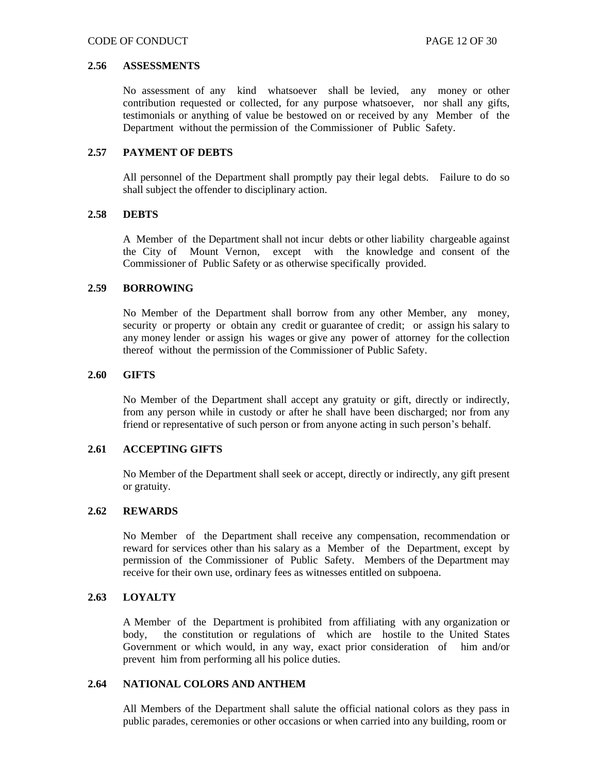#### **2.56 ASSESSMENTS**

No assessment of any kind whatsoever shall be levied, any money or other contribution requested or collected, for any purpose whatsoever, nor shall any gifts, testimonials or anything of value be bestowed on or received by any Member of the Department without the permission of the Commissioner of Public Safety.

## **2.57 PAYMENT OF DEBTS**

All personnel of the Department shall promptly pay their legal debts. Failure to do so shall subject the offender to disciplinary action.

#### **2.58 DEBTS**

A Member of the Department shall not incur debts or other liability chargeable against the City of Mount Vernon, except with the knowledge and consent of the Commissioner of Public Safety or as otherwise specifically provided.

#### **2.59 BORROWING**

No Member of the Department shall borrow from any other Member, any money, security or property or obtain any credit or guarantee of credit; or assign his salary to any money lender or assign his wages or give any power of attorney for the collection thereof without the permission of the Commissioner of Public Safety.

#### **2.60 GIFTS**

No Member of the Department shall accept any gratuity or gift, directly or indirectly, from any person while in custody or after he shall have been discharged; nor from any friend or representative of such person or from anyone acting in such person's behalf.

## **2.61 ACCEPTING GIFTS**

No Member of the Department shall seek or accept, directly or indirectly, any gift present or gratuity.

## **2.62 REWARDS**

No Member of the Department shall receive any compensation, recommendation or reward for services other than his salary as a Member of the Department, except by permission of the Commissioner of Public Safety. Members of the Department may receive for their own use, ordinary fees as witnesses entitled on subpoena.

## **2.63 LOYALTY**

A Member of the Department is prohibited from affiliating with any organization or body, the constitution or regulations of which are hostile to the United States Government or which would, in any way, exact prior consideration of him and/or prevent him from performing all his police duties.

#### **2.64 NATIONAL COLORS AND ANTHEM**

All Members of the Department shall salute the official national colors as they pass in public parades, ceremonies or other occasions or when carried into any building, room or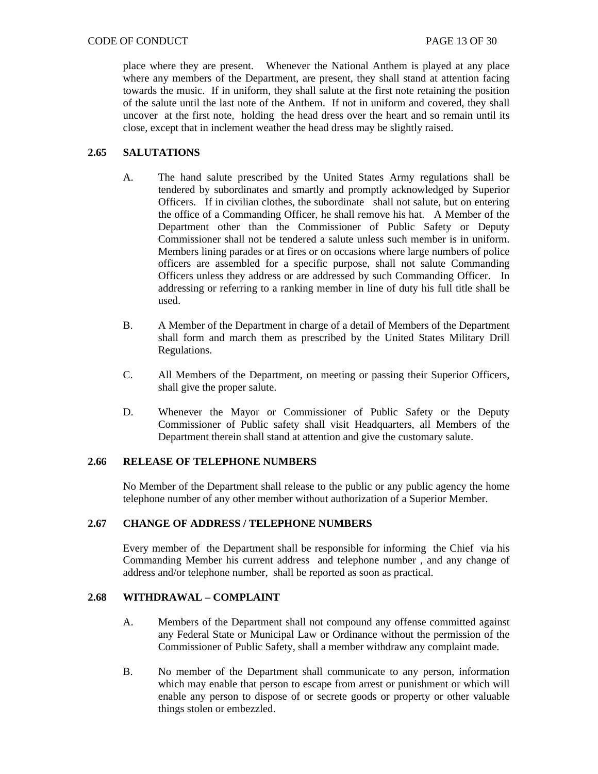place where they are present. Whenever the National Anthem is played at any place where any members of the Department, are present, they shall stand at attention facing towards the music. If in uniform, they shall salute at the first note retaining the position of the salute until the last note of the Anthem. If not in uniform and covered, they shall uncover at the first note, holding the head dress over the heart and so remain until its close, except that in inclement weather the head dress may be slightly raised.

# **2.65 SALUTATIONS**

- A. The hand salute prescribed by the United States Army regulations shall be tendered by subordinates and smartly and promptly acknowledged by Superior Officers. If in civilian clothes, the subordinate shall not salute, but on entering the office of a Commanding Officer, he shall remove his hat. A Member of the Department other than the Commissioner of Public Safety or Deputy Commissioner shall not be tendered a salute unless such member is in uniform. Members lining parades or at fires or on occasions where large numbers of police officers are assembled for a specific purpose, shall not salute Commanding Officers unless they address or are addressed by such Commanding Officer. In addressing or referring to a ranking member in line of duty his full title shall be used.
- B. A Member of the Department in charge of a detail of Members of the Department shall form and march them as prescribed by the United States Military Drill Regulations.
- C. All Members of the Department, on meeting or passing their Superior Officers, shall give the proper salute.
- D. Whenever the Mayor or Commissioner of Public Safety or the Deputy Commissioner of Public safety shall visit Headquarters, all Members of the Department therein shall stand at attention and give the customary salute.

## **2.66 RELEASE OF TELEPHONE NUMBERS**

No Member of the Department shall release to the public or any public agency the home telephone number of any other member without authorization of a Superior Member.

#### **2.67 CHANGE OF ADDRESS / TELEPHONE NUMBERS**

Every member of the Department shall be responsible for informing the Chief via his Commanding Member his current address and telephone number , and any change of address and/or telephone number, shall be reported as soon as practical.

## **2.68 WITHDRAWAL – COMPLAINT**

- A. Members of the Department shall not compound any offense committed against any Federal State or Municipal Law or Ordinance without the permission of the Commissioner of Public Safety, shall a member withdraw any complaint made.
- B. No member of the Department shall communicate to any person, information which may enable that person to escape from arrest or punishment or which will enable any person to dispose of or secrete goods or property or other valuable things stolen or embezzled.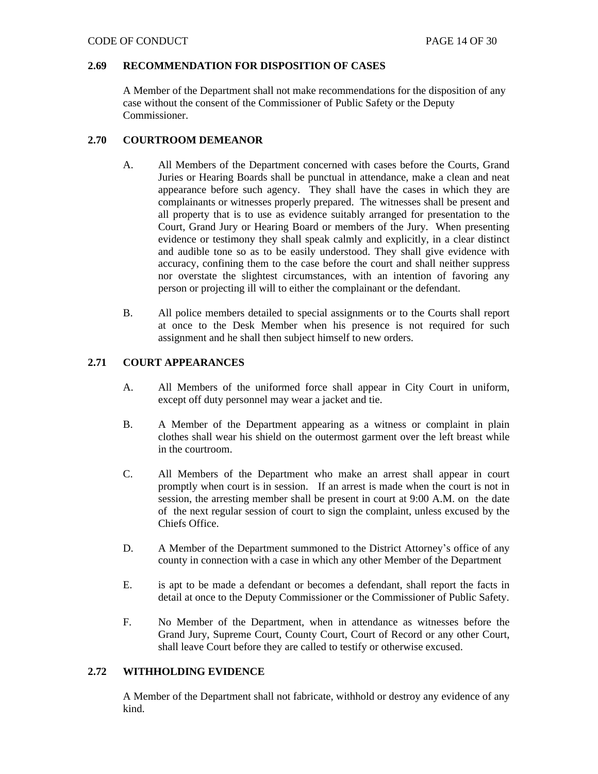## **2.69 RECOMMENDATION FOR DISPOSITION OF CASES**

A Member of the Department shall not make recommendations for the disposition of any case without the consent of the Commissioner of Public Safety or the Deputy Commissioner.

## **2.70 COURTROOM DEMEANOR**

- A. All Members of the Department concerned with cases before the Courts, Grand Juries or Hearing Boards shall be punctual in attendance, make a clean and neat appearance before such agency. They shall have the cases in which they are complainants or witnesses properly prepared. The witnesses shall be present and all property that is to use as evidence suitably arranged for presentation to the Court, Grand Jury or Hearing Board or members of the Jury. When presenting evidence or testimony they shall speak calmly and explicitly, in a clear distinct and audible tone so as to be easily understood. They shall give evidence with accuracy, confining them to the case before the court and shall neither suppress nor overstate the slightest circumstances, with an intention of favoring any person or projecting ill will to either the complainant or the defendant.
- B. All police members detailed to special assignments or to the Courts shall report at once to the Desk Member when his presence is not required for such assignment and he shall then subject himself to new orders.

# **2.71 COURT APPEARANCES**

- A. All Members of the uniformed force shall appear in City Court in uniform, except off duty personnel may wear a jacket and tie.
- B. A Member of the Department appearing as a witness or complaint in plain clothes shall wear his shield on the outermost garment over the left breast while in the courtroom.
- C. All Members of the Department who make an arrest shall appear in court promptly when court is in session. If an arrest is made when the court is not in session, the arresting member shall be present in court at 9:00 A.M. on the date of the next regular session of court to sign the complaint, unless excused by the Chiefs Office.
- D. A Member of the Department summoned to the District Attorney's office of any county in connection with a case in which any other Member of the Department
- E. is apt to be made a defendant or becomes a defendant, shall report the facts in detail at once to the Deputy Commissioner or the Commissioner of Public Safety.
- F. No Member of the Department, when in attendance as witnesses before the Grand Jury, Supreme Court, County Court, Court of Record or any other Court, shall leave Court before they are called to testify or otherwise excused.

## **2.72 WITHHOLDING EVIDENCE**

A Member of the Department shall not fabricate, withhold or destroy any evidence of any kind.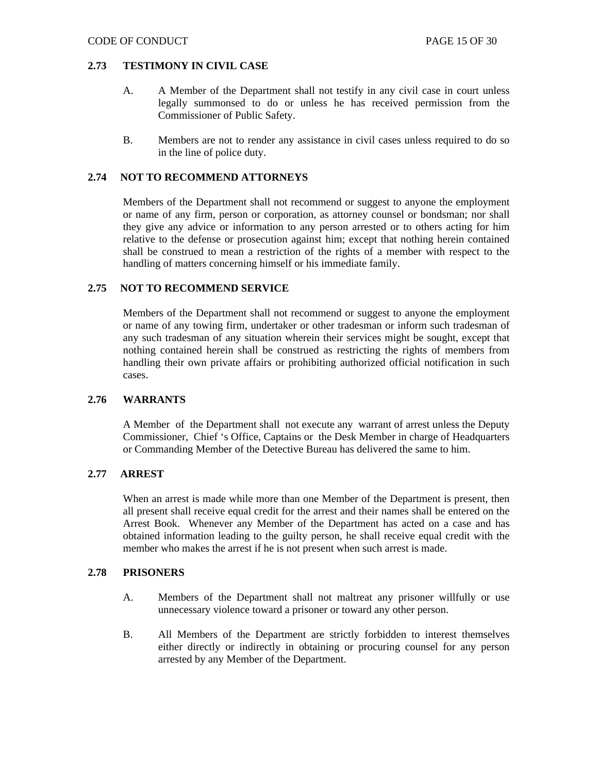#### **2.73 TESTIMONY IN CIVIL CASE**

- A. A Member of the Department shall not testify in any civil case in court unless legally summonsed to do or unless he has received permission from the Commissioner of Public Safety.
- B. Members are not to render any assistance in civil cases unless required to do so in the line of police duty.

## **2.74 NOT TO RECOMMEND ATTORNEYS**

Members of the Department shall not recommend or suggest to anyone the employment or name of any firm, person or corporation, as attorney counsel or bondsman; nor shall they give any advice or information to any person arrested or to others acting for him relative to the defense or prosecution against him; except that nothing herein contained shall be construed to mean a restriction of the rights of a member with respect to the handling of matters concerning himself or his immediate family.

## **2.75 NOT TO RECOMMEND SERVICE**

Members of the Department shall not recommend or suggest to anyone the employment or name of any towing firm, undertaker or other tradesman or inform such tradesman of any such tradesman of any situation wherein their services might be sought, except that nothing contained herein shall be construed as restricting the rights of members from handling their own private affairs or prohibiting authorized official notification in such cases.

#### **2.76 WARRANTS**

A Member of the Department shall not execute any warrant of arrest unless the Deputy Commissioner, Chief 's Office, Captains or the Desk Member in charge of Headquarters or Commanding Member of the Detective Bureau has delivered the same to him.

#### **2.77 ARREST**

When an arrest is made while more than one Member of the Department is present, then all present shall receive equal credit for the arrest and their names shall be entered on the Arrest Book. Whenever any Member of the Department has acted on a case and has obtained information leading to the guilty person, he shall receive equal credit with the member who makes the arrest if he is not present when such arrest is made.

#### **2.78 PRISONERS**

- A. Members of the Department shall not maltreat any prisoner willfully or use unnecessary violence toward a prisoner or toward any other person.
- B. All Members of the Department are strictly forbidden to interest themselves either directly or indirectly in obtaining or procuring counsel for any person arrested by any Member of the Department.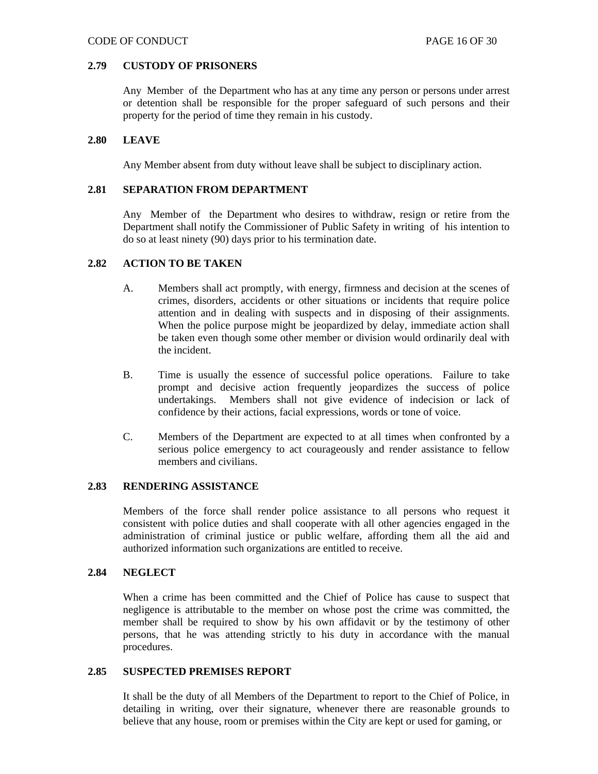#### **2.79 CUSTODY OF PRISONERS**

Any Member of the Department who has at any time any person or persons under arrest or detention shall be responsible for the proper safeguard of such persons and their property for the period of time they remain in his custody.

#### **2.80 LEAVE**

Any Member absent from duty without leave shall be subject to disciplinary action.

#### **2.81 SEPARATION FROM DEPARTMENT**

Any Member of the Department who desires to withdraw, resign or retire from the Department shall notify the Commissioner of Public Safety in writing of his intention to do so at least ninety (90) days prior to his termination date.

#### **2.82 ACTION TO BE TAKEN**

- A. Members shall act promptly, with energy, firmness and decision at the scenes of crimes, disorders, accidents or other situations or incidents that require police attention and in dealing with suspects and in disposing of their assignments. When the police purpose might be jeopardized by delay, immediate action shall be taken even though some other member or division would ordinarily deal with the incident.
- B. Time is usually the essence of successful police operations. Failure to take prompt and decisive action frequently jeopardizes the success of police undertakings. Members shall not give evidence of indecision or lack of confidence by their actions, facial expressions, words or tone of voice.
- C. Members of the Department are expected to at all times when confronted by a serious police emergency to act courageously and render assistance to fellow members and civilians.

## **2.83 RENDERING ASSISTANCE**

Members of the force shall render police assistance to all persons who request it consistent with police duties and shall cooperate with all other agencies engaged in the administration of criminal justice or public welfare, affording them all the aid and authorized information such organizations are entitled to receive.

#### **2.84 NEGLECT**

When a crime has been committed and the Chief of Police has cause to suspect that negligence is attributable to the member on whose post the crime was committed, the member shall be required to show by his own affidavit or by the testimony of other persons, that he was attending strictly to his duty in accordance with the manual procedures.

## **2.85 SUSPECTED PREMISES REPORT**

It shall be the duty of all Members of the Department to report to the Chief of Police, in detailing in writing, over their signature, whenever there are reasonable grounds to believe that any house, room or premises within the City are kept or used for gaming, or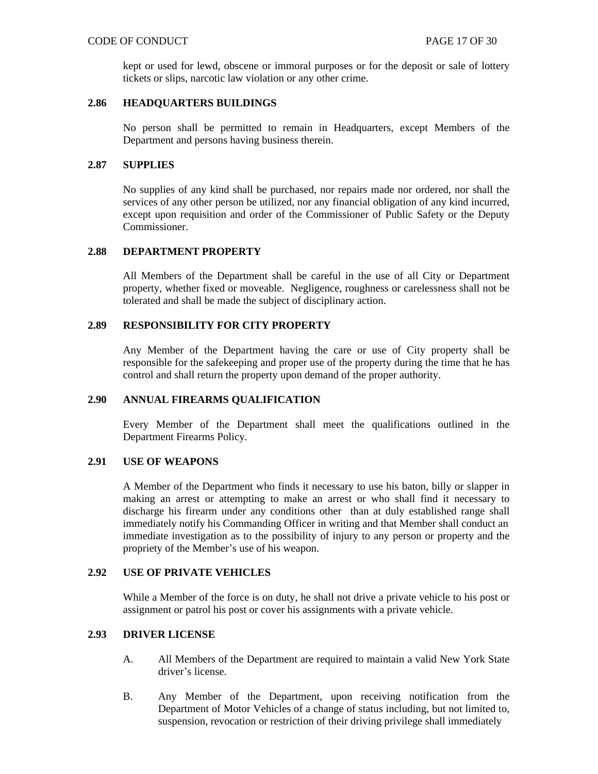#### CODE OF CONDUCT THE SAME 17 OF 30

kept or used for lewd, obscene or immoral purposes or for the deposit or sale of lottery tickets or slips, narcotic law violation or any other crime.

## **2.86 HEADQUARTERS BUILDINGS**

No person shall be permitted to remain in Headquarters, except Members of the Department and persons having business therein.

#### **2.87 SUPPLIES**

No supplies of any kind shall be purchased, nor repairs made nor ordered, nor shall the services of any other person be utilized, nor any financial obligation of any kind incurred, except upon requisition and order of the Commissioner of Public Safety or the Deputy Commissioner.

#### **2.88 DEPARTMENT PROPERTY**

All Members of the Department shall be careful in the use of all City or Department property, whether fixed or moveable. Negligence, roughness or carelessness shall not be tolerated and shall be made the subject of disciplinary action.

## **2.89 RESPONSIBILITY FOR CITY PROPERTY**

Any Member of the Department having the care or use of City property shall be responsible for the safekeeping and proper use of the property during the time that he has control and shall return the property upon demand of the proper authority.

#### **2.90 ANNUAL FIREARMS QUALIFICATION**

Every Member of the Department shall meet the qualifications outlined in the Department Firearms Policy.

## **2.91 USE OF WEAPONS**

A Member of the Department who finds it necessary to use his baton, billy or slapper in making an arrest or attempting to make an arrest or who shall find it necessary to discharge his firearm under any conditions other than at duly established range shall immediately notify his Commanding Officer in writing and that Member shall conduct an immediate investigation as to the possibility of injury to any person or property and the propriety of the Member's use of his weapon.

## **2.92 USE OF PRIVATE VEHICLES**

While a Member of the force is on duty, he shall not drive a private vehicle to his post or assignment or patrol his post or cover his assignments with a private vehicle.

## **2.93 DRIVER LICENSE**

- A. All Members of the Department are required to maintain a valid New York State driver's license.
- B. Any Member of the Department, upon receiving notification from the Department of Motor Vehicles of a change of status including, but not limited to, suspension, revocation or restriction of their driving privilege shall immediately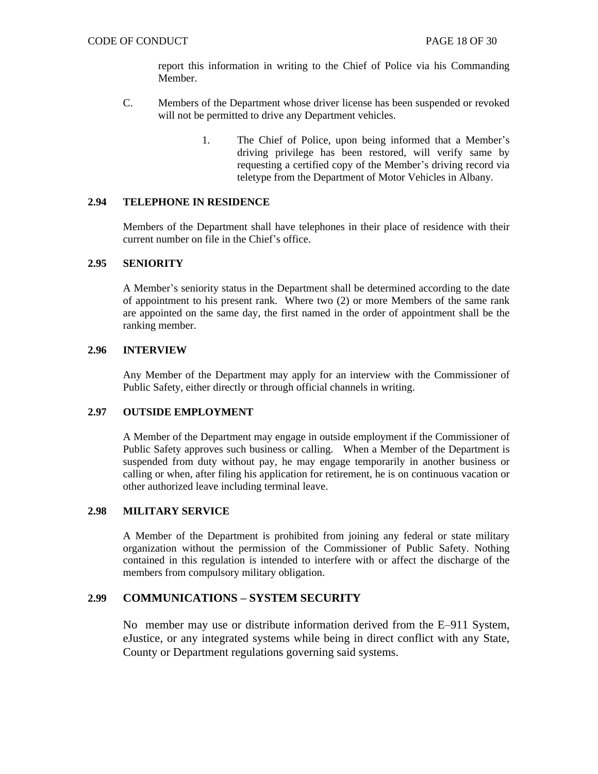report this information in writing to the Chief of Police via his Commanding Member.

- C. Members of the Department whose driver license has been suspended or revoked will not be permitted to drive any Department vehicles.
	- 1. The Chief of Police, upon being informed that a Member's driving privilege has been restored, will verify same by requesting a certified copy of the Member's driving record via teletype from the Department of Motor Vehicles in Albany.

## **2.94 TELEPHONE IN RESIDENCE**

Members of the Department shall have telephones in their place of residence with their current number on file in the Chief's office.

## **2.95 SENIORITY**

A Member's seniority status in the Department shall be determined according to the date of appointment to his present rank. Where two (2) or more Members of the same rank are appointed on the same day, the first named in the order of appointment shall be the ranking member.

#### **2.96 INTERVIEW**

Any Member of the Department may apply for an interview with the Commissioner of Public Safety, either directly or through official channels in writing.

## **2.97 OUTSIDE EMPLOYMENT**

A Member of the Department may engage in outside employment if the Commissioner of Public Safety approves such business or calling. When a Member of the Department is suspended from duty without pay, he may engage temporarily in another business or calling or when, after filing his application for retirement, he is on continuous vacation or other authorized leave including terminal leave.

## **2.98 MILITARY SERVICE**

A Member of the Department is prohibited from joining any federal or state military organization without the permission of the Commissioner of Public Safety. Nothing contained in this regulation is intended to interfere with or affect the discharge of the members from compulsory military obligation.

## **2.99 COMMUNICATIONS – SYSTEM SECURITY**

No member may use or distribute information derived from the E–911 System, eJustice, or any integrated systems while being in direct conflict with any State, County or Department regulations governing said systems.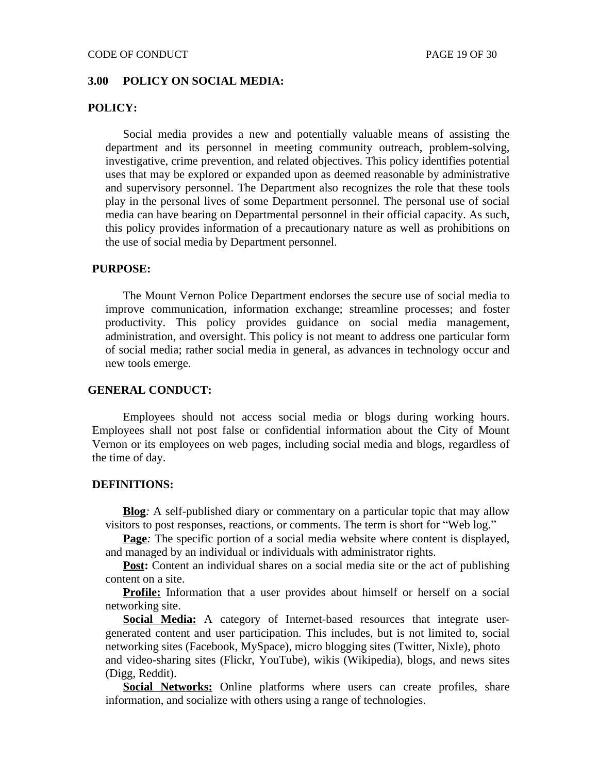## **3.00 POLICY ON SOCIAL MEDIA:**

## **POLICY:**

Social media provides a new and potentially valuable means of assisting the department and its personnel in meeting community outreach, problem-solving, investigative, crime prevention, and related objectives. This policy identifies potential uses that may be explored or expanded upon as deemed reasonable by administrative and supervisory personnel. The Department also recognizes the role that these tools play in the personal lives of some Department personnel. The personal use of social media can have bearing on Departmental personnel in their official capacity. As such, this policy provides information of a precautionary nature as well as prohibitions on the use of social media by Department personnel.

## **PURPOSE:**

The Mount Vernon Police Department endorses the secure use of social media to improve communication, information exchange; streamline processes; and foster productivity. This policy provides guidance on social media management, administration, and oversight. This policy is not meant to address one particular form of social media; rather social media in general, as advances in technology occur and new tools emerge.

#### **GENERAL CONDUCT:**

Employees should not access social media or blogs during working hours. Employees shall not post false or confidential information about the City of Mount Vernon or its employees on web pages, including social media and blogs, regardless of the time of day.

## **DEFINITIONS:**

**Blog***:* A self-published diary or commentary on a particular topic that may allow visitors to post responses, reactions, or comments. The term is short for "Web log."

**Page**: The specific portion of a social media website where content is displayed, and managed by an individual or individuals with administrator rights.

**Post:** Content an individual shares on a social media site or the act of publishing content on a site.

**Profile:** Information that a user provides about himself or herself on a social networking site.

**Social Media:** A category of Internet-based resources that integrate usergenerated content and user participation. This includes, but is not limited to, social networking sites (Facebook, MySpace), micro blogging sites (Twitter, Nixle), photo and video-sharing sites (Flickr, YouTube), wikis (Wikipedia), blogs, and news sites (Digg, Reddit).

**Social Networks:** Online platforms where users can create profiles, share information, and socialize with others using a range of technologies.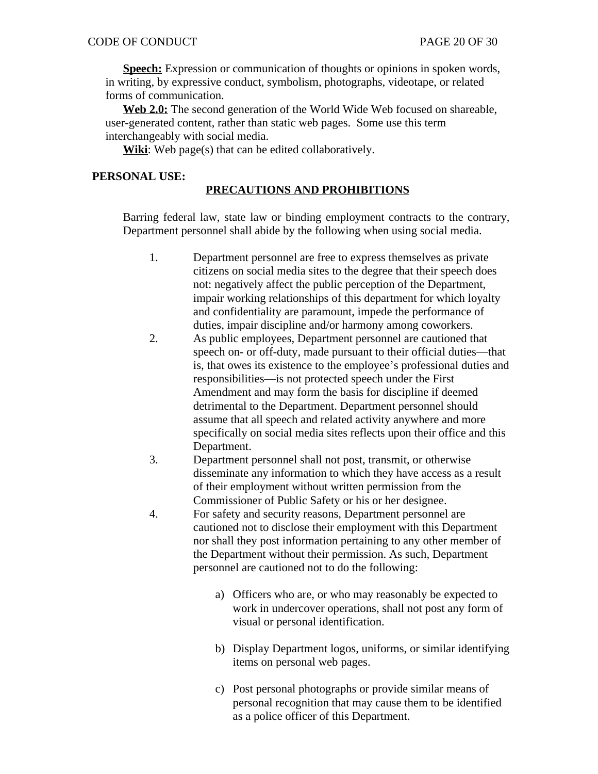**Speech:** Expression or communication of thoughts or opinions in spoken words, in writing, by expressive conduct, symbolism, photographs, videotape, or related forms of communication.

**Web 2.0:** The second generation of the World Wide Web focused on shareable, user-generated content, rather than static web pages. Some use this term interchangeably with social media.

**Wiki**: Web page(s) that can be edited collaboratively.

## **PERSONAL USE:**

# **PRECAUTIONS AND PROHIBITIONS**

Barring federal law, state law or binding employment contracts to the contrary, Department personnel shall abide by the following when using social media.

- 1. Department personnel are free to express themselves as private citizens on social media sites to the degree that their speech does not: negatively affect the public perception of the Department, impair working relationships of this department for which loyalty and confidentiality are paramount, impede the performance of duties, impair discipline and/or harmony among coworkers.
- 2. As public employees, Department personnel are cautioned that speech on- or off-duty, made pursuant to their official duties—that is, that owes its existence to the employee's professional duties and responsibilities—is not protected speech under the First Amendment and may form the basis for discipline if deemed detrimental to the Department. Department personnel should assume that all speech and related activity anywhere and more specifically on social media sites reflects upon their office and this Department.
- 3. Department personnel shall not post, transmit, or otherwise disseminate any information to which they have access as a result of their employment without written permission from the Commissioner of Public Safety or his or her designee.
- 4. For safety and security reasons, Department personnel are cautioned not to disclose their employment with this Department nor shall they post information pertaining to any other member of the Department without their permission. As such, Department personnel are cautioned not to do the following:
	- a) Officers who are, or who may reasonably be expected to work in undercover operations, shall not post any form of visual or personal identification.
	- b) Display Department logos, uniforms, or similar identifying items on personal web pages.
	- c) Post personal photographs or provide similar means of personal recognition that may cause them to be identified as a police officer of this Department.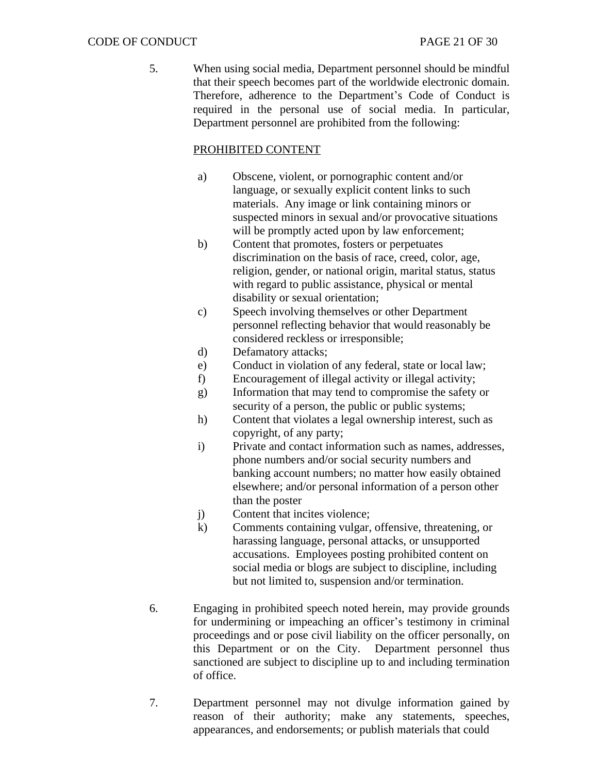5. When using social media, Department personnel should be mindful that their speech becomes part of the worldwide electronic domain. Therefore, adherence to the Department's Code of Conduct is required in the personal use of social media. In particular, Department personnel are prohibited from the following:

# PROHIBITED CONTENT

- a) Obscene, violent, or pornographic content and/or language, or sexually explicit content links to such materials. Any image or link containing minors or suspected minors in sexual and/or provocative situations will be promptly acted upon by law enforcement;
- b) Content that promotes, fosters or perpetuates discrimination on the basis of race, creed, color, age, religion, gender, or national origin, marital status, status with regard to public assistance, physical or mental disability or sexual orientation;
- c) Speech involving themselves or other Department personnel reflecting behavior that would reasonably be considered reckless or irresponsible;
- d) Defamatory attacks;
- e) Conduct in violation of any federal, state or local law;
- f) Encouragement of illegal activity or illegal activity;
- g) Information that may tend to compromise the safety or security of a person, the public or public systems;
- h) Content that violates a legal ownership interest, such as copyright, of any party;
- i) Private and contact information such as names, addresses, phone numbers and/or social security numbers and banking account numbers; no matter how easily obtained elsewhere; and/or personal information of a person other than the poster
- j) Content that incites violence;
- k) Comments containing vulgar, offensive, threatening, or harassing language, personal attacks, or unsupported accusations. Employees posting prohibited content on social media or blogs are subject to discipline, including but not limited to, suspension and/or termination.
- 6. Engaging in prohibited speech noted herein, may provide grounds for undermining or impeaching an officer's testimony in criminal proceedings and or pose civil liability on the officer personally, on this Department or on the City. Department personnel thus sanctioned are subject to discipline up to and including termination of office.
- 7. Department personnel may not divulge information gained by reason of their authority; make any statements, speeches, appearances, and endorsements; or publish materials that could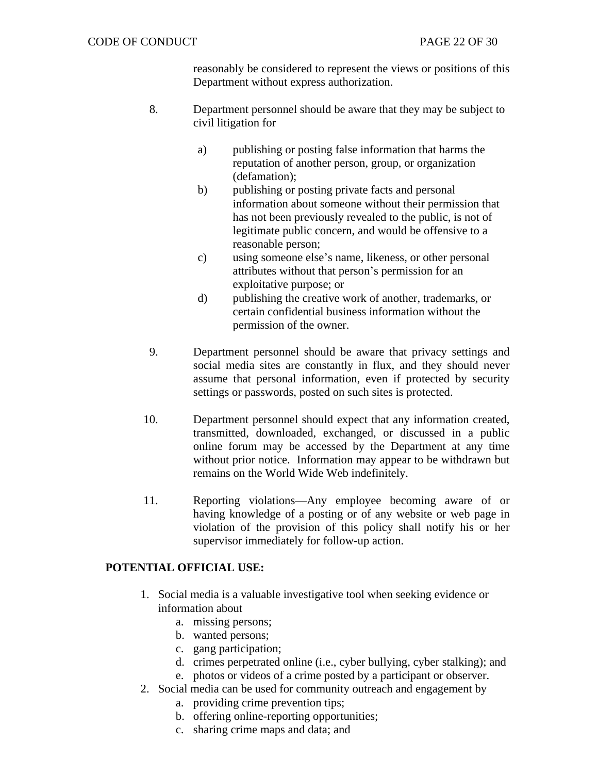reasonably be considered to represent the views or positions of this Department without express authorization.

- 8. Department personnel should be aware that they may be subject to civil litigation for
	- a) publishing or posting false information that harms the reputation of another person, group, or organization (defamation);
	- b) publishing or posting private facts and personal information about someone without their permission that has not been previously revealed to the public, is not of legitimate public concern, and would be offensive to a reasonable person;
	- c) using someone else's name, likeness, or other personal attributes without that person's permission for an exploitative purpose; or
	- d) publishing the creative work of another, trademarks, or certain confidential business information without the permission of the owner.
- 9. Department personnel should be aware that privacy settings and social media sites are constantly in flux, and they should never assume that personal information, even if protected by security settings or passwords, posted on such sites is protected.
- 10. Department personnel should expect that any information created, transmitted, downloaded, exchanged, or discussed in a public online forum may be accessed by the Department at any time without prior notice. Information may appear to be withdrawn but remains on the World Wide Web indefinitely.
- 11. Reporting violations—Any employee becoming aware of or having knowledge of a posting or of any website or web page in violation of the provision of this policy shall notify his or her supervisor immediately for follow-up action.

# **POTENTIAL OFFICIAL USE:**

- 1. Social media is a valuable investigative tool when seeking evidence or information about
	- a. missing persons;
	- b. wanted persons;
	- c. gang participation;
	- d. crimes perpetrated online (i.e., cyber bullying, cyber stalking); and
	- e. photos or videos of a crime posted by a participant or observer.
- 2. Social media can be used for community outreach and engagement by
	- a. providing crime prevention tips;
	- b. offering online-reporting opportunities;
	- c. sharing crime maps and data; and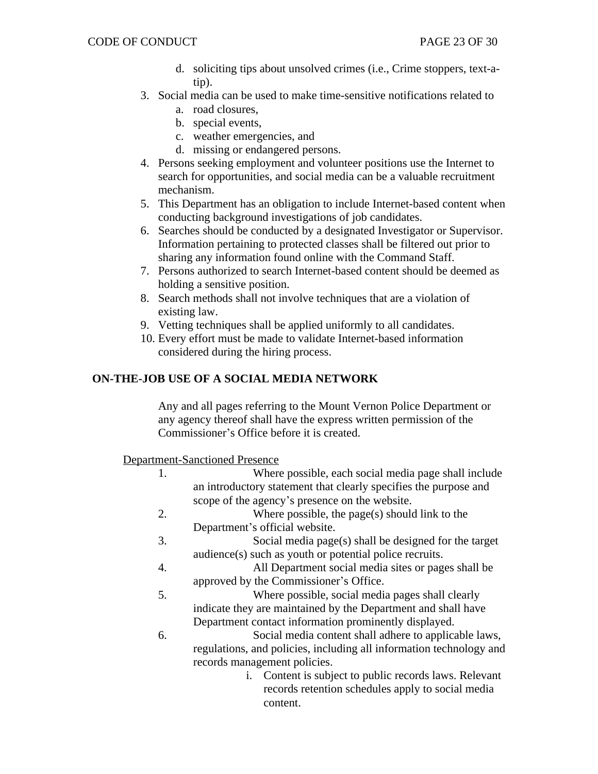- d. soliciting tips about unsolved crimes (i.e., Crime stoppers, text-atip).
- 3. Social media can be used to make time-sensitive notifications related to a. road closures,
	- b. special events,
	- c. weather emergencies, and
	- d. missing or endangered persons.
- 4. Persons seeking employment and volunteer positions use the Internet to search for opportunities, and social media can be a valuable recruitment mechanism.
- 5. This Department has an obligation to include Internet-based content when conducting background investigations of job candidates.
- 6. Searches should be conducted by a designated Investigator or Supervisor. Information pertaining to protected classes shall be filtered out prior to sharing any information found online with the Command Staff.
- 7. Persons authorized to search Internet-based content should be deemed as holding a sensitive position.
- 8. Search methods shall not involve techniques that are a violation of existing law.
- 9. Vetting techniques shall be applied uniformly to all candidates.
- 10. Every effort must be made to validate Internet-based information considered during the hiring process.

# **ON-THE-JOB USE OF A SOCIAL MEDIA NETWORK**

Any and all pages referring to the Mount Vernon Police Department or any agency thereof shall have the express written permission of the Commissioner's Office before it is created.

Department-Sanctioned Presence

- 1. Where possible, each social media page shall include an introductory statement that clearly specifies the purpose and scope of the agency's presence on the website.
- 2. Where possible, the page(s) should link to the Department's official website.
- 3. Social media page(s) shall be designed for the target audience(s) such as youth or potential police recruits.
- 4. All Department social media sites or pages shall be approved by the Commissioner's Office.
- 5. Where possible, social media pages shall clearly indicate they are maintained by the Department and shall have Department contact information prominently displayed.
- 6. Social media content shall adhere to applicable laws, regulations, and policies, including all information technology and records management policies.
	- i. Content is subject to public records laws. Relevant records retention schedules apply to social media content.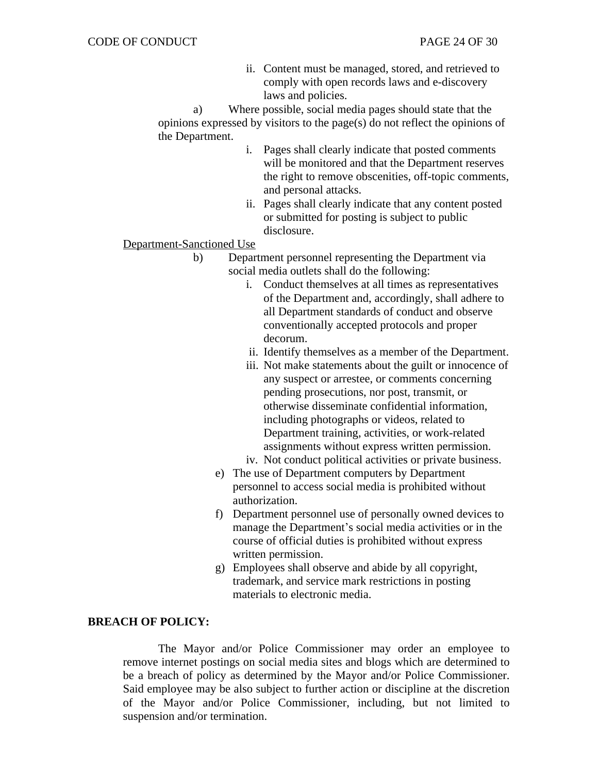ii. Content must be managed, stored, and retrieved to comply with open records laws and e-discovery laws and policies.

a) Where possible, social media pages should state that the opinions expressed by visitors to the page(s) do not reflect the opinions of the Department.

- i. Pages shall clearly indicate that posted comments will be monitored and that the Department reserves the right to remove obscenities, off-topic comments, and personal attacks.
- ii. Pages shall clearly indicate that any content posted or submitted for posting is subject to public disclosure.

Department-Sanctioned Use

- b) Department personnel representing the Department via social media outlets shall do the following:
	- i. Conduct themselves at all times as representatives of the Department and, accordingly, shall adhere to all Department standards of conduct and observe conventionally accepted protocols and proper decorum.
	- ii. Identify themselves as a member of the Department.
	- iii. Not make statements about the guilt or innocence of any suspect or arrestee, or comments concerning pending prosecutions, nor post, transmit, or otherwise disseminate confidential information, including photographs or videos, related to Department training, activities, or work-related assignments without express written permission.
	- iv. Not conduct political activities or private business.
	- e) The use of Department computers by Department personnel to access social media is prohibited without authorization.
	- f) Department personnel use of personally owned devices to manage the Department's social media activities or in the course of official duties is prohibited without express written permission.
	- g) Employees shall observe and abide by all copyright, trademark, and service mark restrictions in posting materials to electronic media.

## **BREACH OF POLICY:**

The Mayor and/or Police Commissioner may order an employee to remove internet postings on social media sites and blogs which are determined to be a breach of policy as determined by the Mayor and/or Police Commissioner. Said employee may be also subject to further action or discipline at the discretion of the Mayor and/or Police Commissioner, including, but not limited to suspension and/or termination.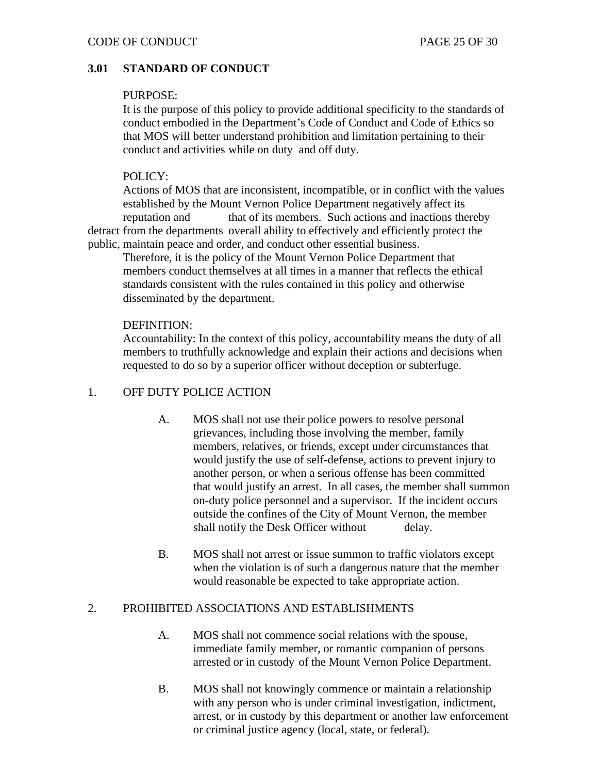# **3.01 STANDARD OF CONDUCT**

## PURPOSE:

It is the purpose of this policy to provide additional specificity to the standards of conduct embodied in the Department's Code of Conduct and Code of Ethics so that MOS will better understand prohibition and limitation pertaining to their conduct and activities while on duty and off duty.

# POLICY:

Actions of MOS that are inconsistent, incompatible, or in conflict with the values established by the Mount Vernon Police Department negatively affect its reputation and that of its members. Such actions and inactions thereby detract from the departments overall ability to effectively and efficiently protect the public, maintain peace and order, and conduct other essential business.

Therefore, it is the policy of the Mount Vernon Police Department that members conduct themselves at all times in a manner that reflects the ethical standards consistent with the rules contained in this policy and otherwise disseminated by the department.

# DEFINITION:

Accountability: In the context of this policy, accountability means the duty of all members to truthfully acknowledge and explain their actions and decisions when requested to do so by a superior officer without deception or subterfuge.

# 1. OFF DUTY POLICE ACTION

- A. MOS shall not use their police powers to resolve personal grievances, including those involving the member, family members, relatives, or friends, except under circumstances that would justify the use of self-defense, actions to prevent injury to another person, or when a serious offense has been committed that would justify an arrest. In all cases, the member shall summon on-duty police personnel and a supervisor. If the incident occurs outside the confines of the City of Mount Vernon, the member shall notify the Desk Officer without delay.
- B. MOS shall not arrest or issue summon to traffic violators except when the violation is of such a dangerous nature that the member would reasonable be expected to take appropriate action.

# 2. PROHIBITED ASSOCIATIONS AND ESTABLISHMENTS

- A. MOS shall not commence social relations with the spouse, immediate family member, or romantic companion of persons arrested or in custody of the Mount Vernon Police Department.
- B. MOS shall not knowingly commence or maintain a relationship with any person who is under criminal investigation, indictment, arrest, or in custody by this department or another law enforcement or criminal justice agency (local, state, or federal).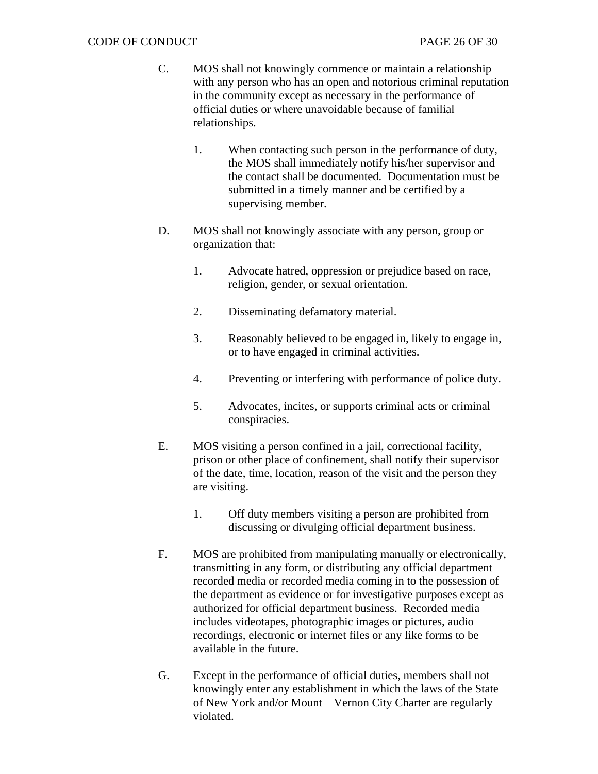- C. MOS shall not knowingly commence or maintain a relationship with any person who has an open and notorious criminal reputation in the community except as necessary in the performance of official duties or where unavoidable because of familial relationships.
	- 1. When contacting such person in the performance of duty, the MOS shall immediately notify his/her supervisor and the contact shall be documented. Documentation must be submitted in a timely manner and be certified by a supervising member.
- D. MOS shall not knowingly associate with any person, group or organization that:
	- 1. Advocate hatred, oppression or prejudice based on race, religion, gender, or sexual orientation.
	- 2. Disseminating defamatory material.
	- 3. Reasonably believed to be engaged in, likely to engage in, or to have engaged in criminal activities.
	- 4. Preventing or interfering with performance of police duty.
	- 5. Advocates, incites, or supports criminal acts or criminal conspiracies.
- E. MOS visiting a person confined in a jail, correctional facility, prison or other place of confinement, shall notify their supervisor of the date, time, location, reason of the visit and the person they are visiting.
	- 1. Off duty members visiting a person are prohibited from discussing or divulging official department business.
- F. MOS are prohibited from manipulating manually or electronically, transmitting in any form, or distributing any official department recorded media or recorded media coming in to the possession of the department as evidence or for investigative purposes except as authorized for official department business. Recorded media includes videotapes, photographic images or pictures, audio recordings, electronic or internet files or any like forms to be available in the future.
- G. Except in the performance of official duties, members shall not knowingly enter any establishment in which the laws of the State of New York and/or Mount Vernon City Charter are regularly violated.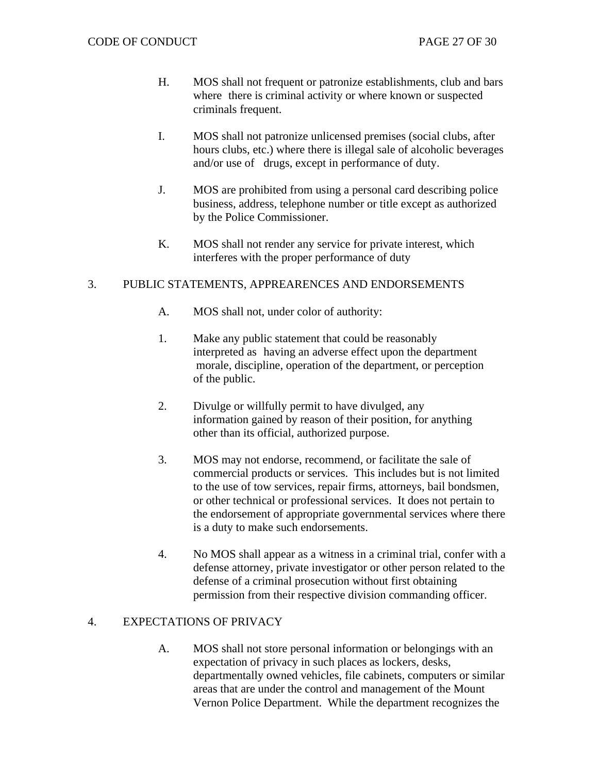- H. MOS shall not frequent or patronize establishments, club and bars where there is criminal activity or where known or suspected criminals frequent.
- I. MOS shall not patronize unlicensed premises (social clubs, after hours clubs, etc.) where there is illegal sale of alcoholic beverages and/or use of drugs, except in performance of duty.
- J. MOS are prohibited from using a personal card describing police business, address, telephone number or title except as authorized by the Police Commissioner.
- K. MOS shall not render any service for private interest, which interferes with the proper performance of duty

# 3. PUBLIC STATEMENTS, APPREARENCES AND ENDORSEMENTS

- A. MOS shall not, under color of authority:
- 1. Make any public statement that could be reasonably interpreted as having an adverse effect upon the department morale, discipline, operation of the department, or perception of the public.
- 2. Divulge or willfully permit to have divulged, any information gained by reason of their position, for anything other than its official, authorized purpose.
- 3. MOS may not endorse, recommend, or facilitate the sale of commercial products or services. This includes but is not limited to the use of tow services, repair firms, attorneys, bail bondsmen, or other technical or professional services. It does not pertain to the endorsement of appropriate governmental services where there is a duty to make such endorsements.
- 4. No MOS shall appear as a witness in a criminal trial, confer with a defense attorney, private investigator or other person related to the defense of a criminal prosecution without first obtaining permission from their respective division commanding officer.

## 4. EXPECTATIONS OF PRIVACY

A. MOS shall not store personal information or belongings with an expectation of privacy in such places as lockers, desks, departmentally owned vehicles, file cabinets, computers or similar areas that are under the control and management of the Mount Vernon Police Department. While the department recognizes the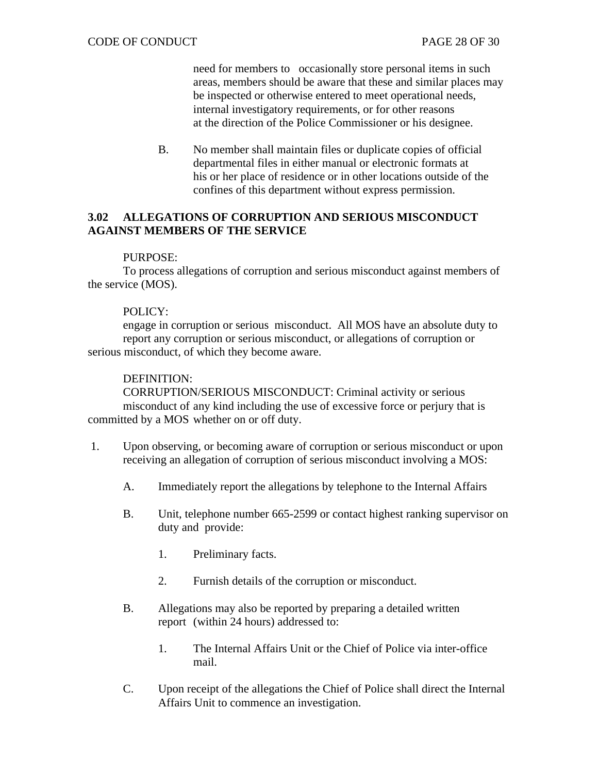need for members to occasionally store personal items in such areas, members should be aware that these and similar places may be inspected or otherwise entered to meet operational needs, internal investigatory requirements, or for other reasons at the direction of the Police Commissioner or his designee.

B. No member shall maintain files or duplicate copies of official departmental files in either manual or electronic formats at his or her place of residence or in other locations outside of the confines of this department without express permission.

# **3.02 ALLEGATIONS OF CORRUPTION AND SERIOUS MISCONDUCT AGAINST MEMBERS OF THE SERVICE**

## PURPOSE:

To process allegations of corruption and serious misconduct against members of the service (MOS).

## POLICY:

engage in corruption or serious misconduct. All MOS have an absolute duty to report any corruption or serious misconduct, or allegations of corruption or serious misconduct, of which they become aware.

## DEFINITION:

CORRUPTION/SERIOUS MISCONDUCT: Criminal activity or serious misconduct of any kind including the use of excessive force or perjury that is committed by a MOS whether on or off duty.

- 1. Upon observing, or becoming aware of corruption or serious misconduct or upon receiving an allegation of corruption of serious misconduct involving a MOS:
	- A. Immediately report the allegations by telephone to the Internal Affairs
	- B. Unit, telephone number 665-2599 or contact highest ranking supervisor on duty and provide:
		- 1. Preliminary facts.
		- 2. Furnish details of the corruption or misconduct.
	- B. Allegations may also be reported by preparing a detailed written report (within 24 hours) addressed to:
		- 1. The Internal Affairs Unit or the Chief of Police via inter-office mail.
	- C. Upon receipt of the allegations the Chief of Police shall direct the Internal Affairs Unit to commence an investigation.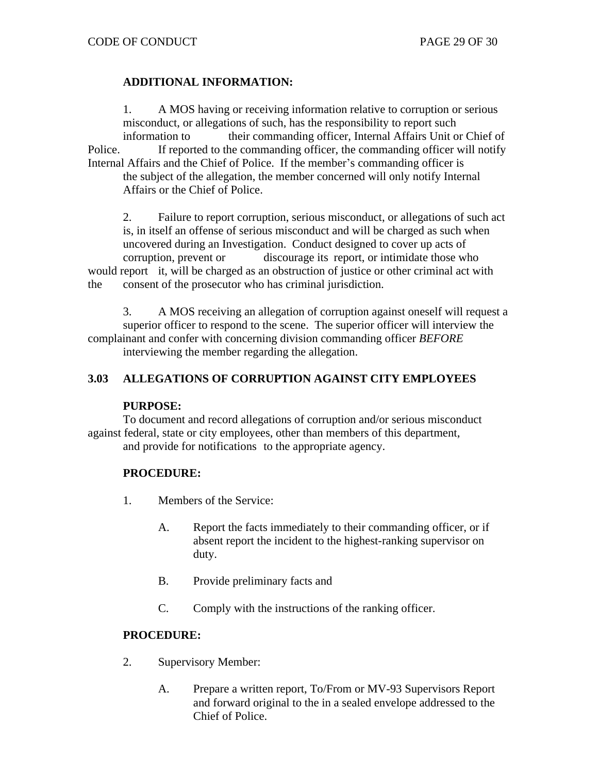# **ADDITIONAL INFORMATION:**

1. A MOS having or receiving information relative to corruption or serious misconduct, or allegations of such, has the responsibility to report such information to their commanding officer, Internal Affairs Unit or Chief of Police. If reported to the commanding officer, the commanding officer will notify Internal Affairs and the Chief of Police. If the member's commanding officer is the subject of the allegation, the member concerned will only notify Internal Affairs or the Chief of Police.

2. Failure to report corruption, serious misconduct, or allegations of such act is, in itself an offense of serious misconduct and will be charged as such when uncovered during an Investigation. Conduct designed to cover up acts of corruption, prevent or discourage its report, or intimidate those who would report it, will be charged as an obstruction of justice or other criminal act with the consent of the prosecutor who has criminal jurisdiction.

3. A MOS receiving an allegation of corruption against oneself will request a superior officer to respond to the scene. The superior officer will interview the complainant and confer with concerning division commanding officer *BEFORE* interviewing the member regarding the allegation.

# **3.03 ALLEGATIONS OF CORRUPTION AGAINST CITY EMPLOYEES**

# **PURPOSE:**

To document and record allegations of corruption and/or serious misconduct against federal, state or city employees, other than members of this department, and provide for notifications to the appropriate agency.

# **PROCEDURE:**

- 1. Members of the Service:
	- A. Report the facts immediately to their commanding officer, or if absent report the incident to the highest-ranking supervisor on duty.
	- B. Provide preliminary facts and
	- C. Comply with the instructions of the ranking officer.

# **PROCEDURE:**

- 2. Supervisory Member:
	- A. Prepare a written report, To/From or MV-93 Supervisors Report and forward original to the in a sealed envelope addressed to the Chief of Police.